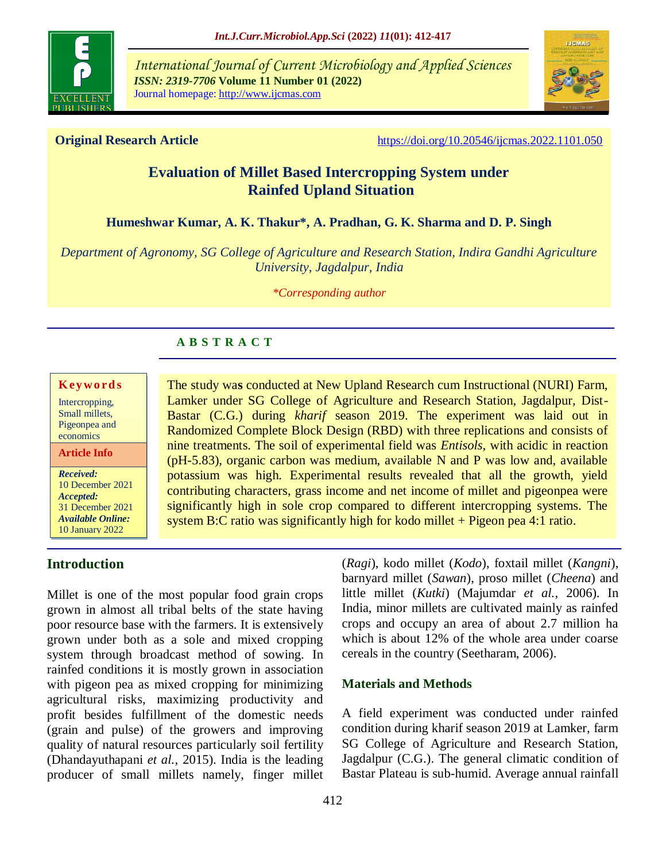

*International Journal of Current Microbiology and Applied Sciences ISSN: 2319-7706* **Volume 11 Number 01 (2022)**  Journal homepage: http://www.ijcmas.com



**Original Research Article** <https://doi.org/10.20546/ijcmas.2022.1101.050>

# **Evaluation of Millet Based Intercropping System under Rainfed Upland Situation**

# **Humeshwar Kumar, A. K. Thakur\*, A. Pradhan, G. K. Sharma and D. P. Singh**

*Department of Agronomy, SG College of Agriculture and Research Station, Indira Gandhi Agriculture University, Jagdalpur, India*

*\*Corresponding author*

# **A B S T R A C T**

#### **K ey w o rd s**

Intercropping, Small millets, Pigeonpea and economics

**Article Info**

*Received:*  10 December 2021 *Accepted:*  31 December 2021 *Available Online:* 10 January 2022

The study wa**s** conducted at New Upland Research cum Instructional (NURI) Farm, Lamker under SG College of Agriculture and Research Station, Jagdalpur, Dist-Bastar (C.G.) during *kharif* season 2019. The experiment was laid out in Randomized Complete Block Design (RBD) with three replications and consists of nine treatments. The soil of experimental field was *Entisols,* with acidic in reaction (pH-5.83), organic carbon was medium, available N and P was low and, available potassium was high. Experimental results revealed that all the growth, yield contributing characters, grass income and net income of millet and pigeonpea were significantly high in sole crop compared to different intercropping systems. The system B:C ratio was significantly high for kodo millet  $+$  Pigeon pea 4:1 ratio.

# **Introduction**

Millet is one of the most popular food grain crops grown in almost all tribal belts of the state having poor resource base with the farmers. It is extensively grown under both as a sole and mixed cropping system through broadcast method of sowing. In rainfed conditions it is mostly grown in association with pigeon pea as mixed cropping for minimizing agricultural risks, maximizing productivity and profit besides fulfillment of the domestic needs (grain and pulse) of the growers and improving quality of natural resources particularly soil fertility (Dhandayuthapani *et al.,* 2015). India is the leading producer of small millets namely, finger millet

(*Ragi*), kodo millet (*Kodo*), foxtail millet (*Kangni*), barnyard millet (*Sawan*), proso millet (*Cheena*) and little millet (*Kutki*) (Majumdar *et al.,* 2006). In India, minor millets are cultivated mainly as rainfed crops and occupy an area of about 2.7 million ha which is about 12% of the whole area under coarse cereals in the country (Seetharam, 2006).

## **Materials and Methods**

A field experiment was conducted under rainfed condition during kharif season 2019 at Lamker, farm SG College of Agriculture and Research Station, Jagdalpur (C.G.). The general climatic condition of Bastar Plateau is sub-humid. Average annual rainfall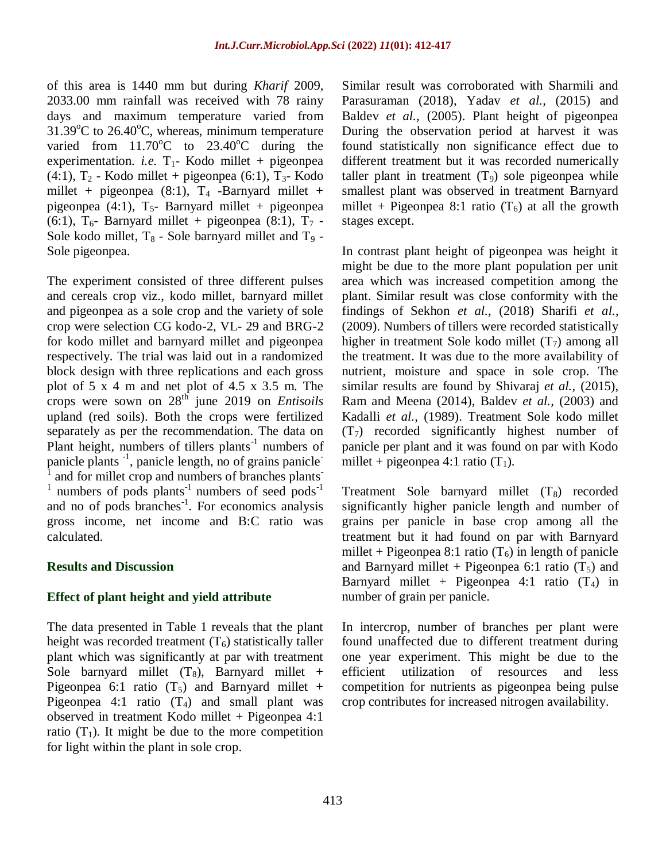of this area is 1440 mm but during *Kharif* 2009, 2033.00 mm rainfall was received with 78 rainy days and maximum temperature varied from  $31.39^{\circ}$ C to  $26.40^{\circ}$ C, whereas, minimum temperature varied from  $11.70^{\circ}$ C to  $23.40^{\circ}$ C during the experimentation. *i.e.*  $T_1$ - Kodo millet + pigeonpea (4:1),  $T_2$  - Kodo millet + pigeonpea (6:1),  $T_3$ - Kodo millet + pigeonpea  $(8:1)$ ,  $T_4$  -Barnyard millet + pigeonpea (4:1),  $T_5$ - Barnyard millet + pigeonpea (6:1),  $T_6$ - Barnyard millet + pigeonpea (8:1),  $T_7$  -Sole kodo millet,  $T_8$  - Sole barnyard millet and  $T_9$  -Sole pigeonpea.

The experiment consisted of three different pulses and cereals crop viz., kodo millet, barnyard millet and pigeonpea as a sole crop and the variety of sole crop were selection CG kodo-2, VL- 29 and BRG-2 for kodo millet and barnyard millet and pigeonpea respectively. The trial was laid out in a randomized block design with three replications and each gross plot of 5 x 4 m and net plot of 4.5 x 3.5 m. The crops were sown on 28th june 2019 on *Entisoils* upland (red soils). Both the crops were fertilized separately as per the recommendation. The data on Plant height, numbers of tillers plants<sup>-1</sup> numbers of panicle plants <sup>-1</sup>, panicle length, no of grains panicle<sup>-1</sup> 1 and for millet crop and numbers of branches plants-1 numbers of pods plants<sup>-1</sup> numbers of seed pods<sup>-1</sup> and no of pods branches<sup>-1</sup>. For economics analysis gross income, net income and B:C ratio was calculated.

### **Results and Discussion**

### **Effect of plant height and yield attribute**

The data presented in Table 1 reveals that the plant height was recorded treatment  $(T_6)$  statistically taller plant which was significantly at par with treatment Sole barnyard millet  $(T_8)$ , Barnyard millet + Pigeonpea 6:1 ratio  $(T_5)$  and Barnyard millet + Pigeonpea 4:1 ratio  $(T_4)$  and small plant was observed in treatment Kodo millet + Pigeonpea 4:1 ratio  $(T_1)$ . It might be due to the more competition for light within the plant in sole crop.

Similar result was corroborated with Sharmili and Parasuraman (2018), Yadav *et al.,* (2015) and Baldev *et al.,* (2005). Plant height of pigeonpea During the observation period at harvest it was found statistically non significance effect due to different treatment but it was recorded numerically taller plant in treatment  $(T<sub>9</sub>)$  sole pigeonpea while smallest plant was observed in treatment Barnyard millet + Pigeonpea 8:1 ratio  $(T_6)$  at all the growth stages except.

In contrast plant height of pigeonpea was height it might be due to the more plant population per unit area which was increased competition among the plant. Similar result was close conformity with the findings of Sekhon *et al.,* (2018) Sharifi *et al.,* (2009). Numbers of tillers were recorded statistically higher in treatment Sole kodo millet  $(T_7)$  among all the treatment. It was due to the more availability of nutrient, moisture and space in sole crop. The similar results are found by Shivaraj *et al.,* (2015), Ram and Meena (2014), Baldev *et al.,* (2003) and Kadalli *et al.,* (1989). Treatment Sole kodo millet  $(T<sub>7</sub>)$  recorded significantly highest number of panicle per plant and it was found on par with Kodo millet + pigeonpea 4:1 ratio  $(T_1)$ .

Treatment Sole barnyard millet  $(T_8)$  recorded significantly higher panicle length and number of grains per panicle in base crop among all the treatment but it had found on par with Barnyard millet + Pigeonpea 8:1 ratio  $(T_6)$  in length of panicle and Barnyard millet + Pigeonpea 6:1 ratio  $(T_5)$  and Barnyard millet + Pigeonpea 4:1 ratio  $(T_4)$  in number of grain per panicle.

In intercrop, number of branches per plant were found unaffected due to different treatment during one year experiment. This might be due to the efficient utilization of resources and less competition for nutrients as pigeonpea being pulse crop contributes for increased nitrogen availability.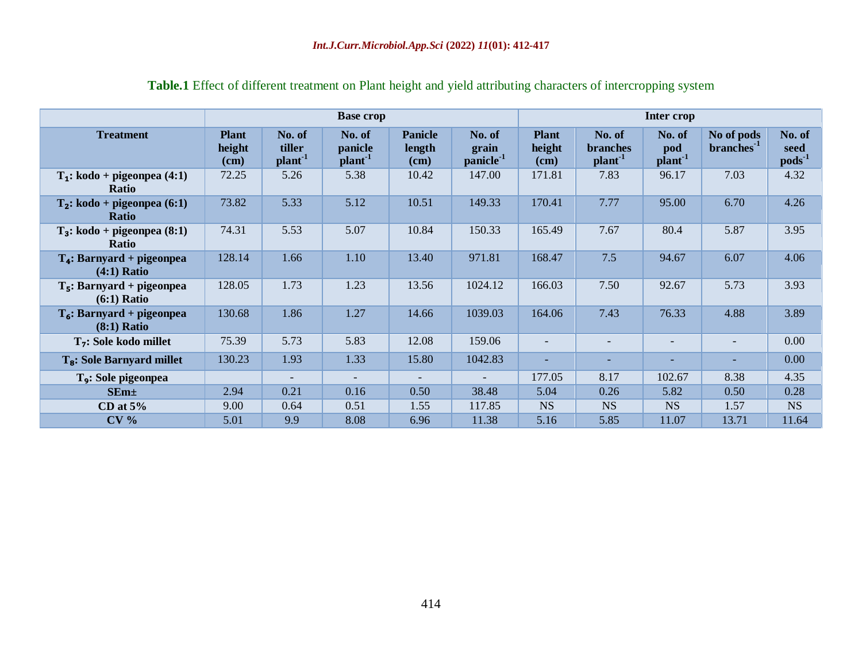|                                                | <b>Base</b> crop               |                                         |                               |                                    | Inter crop                               |                                |                                                  |                                    |                                      |                               |
|------------------------------------------------|--------------------------------|-----------------------------------------|-------------------------------|------------------------------------|------------------------------------------|--------------------------------|--------------------------------------------------|------------------------------------|--------------------------------------|-------------------------------|
| <b>Treatment</b>                               | <b>Plant</b><br>height<br>(cm) | No. of<br>tiller<br>plant <sup>-1</sup> | No. of<br>panicle<br>$plan-1$ | <b>Panicle</b><br>length<br>$cm$ ) | No. of<br>grain<br>panicle <sup>-1</sup> | <b>Plant</b><br>height<br>(cm) | No. of<br><b>branches</b><br>plant <sup>-1</sup> | No. of<br>pod<br>plan <sup>1</sup> | No of pods<br>branches <sup>-1</sup> | No. of<br>seed<br>$pods^{-1}$ |
| $T_1$ : kodo + pigeonpea (4:1)<br><b>Ratio</b> | 72.25                          | 5.26                                    | 5.38                          | 10.42                              | 147.00                                   | 171.81                         | 7.83                                             | 96.17                              | 7.03                                 | 4.32                          |
| $T_2$ : kodo + pigeonpea (6:1)<br><b>Ratio</b> | 73.82                          | 5.33                                    | 5.12                          | 10.51                              | 149.33                                   | 170.41                         | 7.77                                             | 95.00                              | 6.70                                 | 4.26                          |
| $T_3$ : kodo + pigeonpea (8:1)<br>Ratio        | 74.31                          | 5.53                                    | 5.07                          | 10.84                              | 150.33                                   | 165.49                         | 7.67                                             | 80.4                               | 5.87                                 | 3.95                          |
| $T_4$ : Barnyard + pigeonpea<br>$(4:1)$ Ratio  | 128.14                         | 1.66                                    | 1.10                          | 13.40                              | 971.81                                   | 168.47                         | 7.5                                              | 94.67                              | 6.07                                 | 4.06                          |
| $T5$ : Barnyard + pigeonpea<br>$(6:1)$ Ratio   | 128.05                         | 1.73                                    | 1.23                          | 13.56                              | 1024.12                                  | 166.03                         | 7.50                                             | 92.67                              | 5.73                                 | 3.93                          |
| $T_6$ : Barnyard + pigeonpea<br>$(8:1)$ Ratio  | 130.68                         | 1.86                                    | 1.27                          | 14.66                              | 1039.03                                  | 164.06                         | 7.43                                             | 76.33                              | 4.88                                 | 3.89                          |
| $T7$ : Sole kodo millet                        | 75.39                          | 5.73                                    | 5.83                          | 12.08                              | 159.06                                   | $\overline{\phantom{0}}$       | $\overline{\phantom{0}}$                         | $\sim$                             | $\overline{\phantom{0}}$             | 0.00                          |
| T <sub>8</sub> : Sole Barnyard millet          | 130.23                         | 1.93                                    | 1.33                          | 15.80                              | 1042.83                                  | ٠                              | ۰                                                |                                    |                                      | 0.00                          |
| T <sub>9</sub> : Sole pigeonpea                |                                |                                         |                               |                                    |                                          | 177.05                         | 8.17                                             | 102.67                             | 8.38                                 | 4.35                          |
| SEm <sub>±</sub>                               | 2.94                           | 0.21                                    | 0.16                          | 0.50                               | 38.48                                    | 5.04                           | 0.26                                             | 5.82                               | 0.50                                 | 0.28                          |
| CD at $5%$                                     | 9.00                           | 0.64                                    | 0.51                          | 1.55                               | 117.85                                   | <b>NS</b>                      | <b>NS</b>                                        | <b>NS</b>                          | 1.57                                 | <b>NS</b>                     |
| CV <sub>0</sub>                                | 5.01                           | 9.9                                     | 8.08                          | 6.96                               | 11.38                                    | 5.16                           | 5.85                                             | 11.07                              | 13.71                                | 11.64                         |

# **Table.1** Effect of different treatment on Plant height and yield attributing characters of intercropping system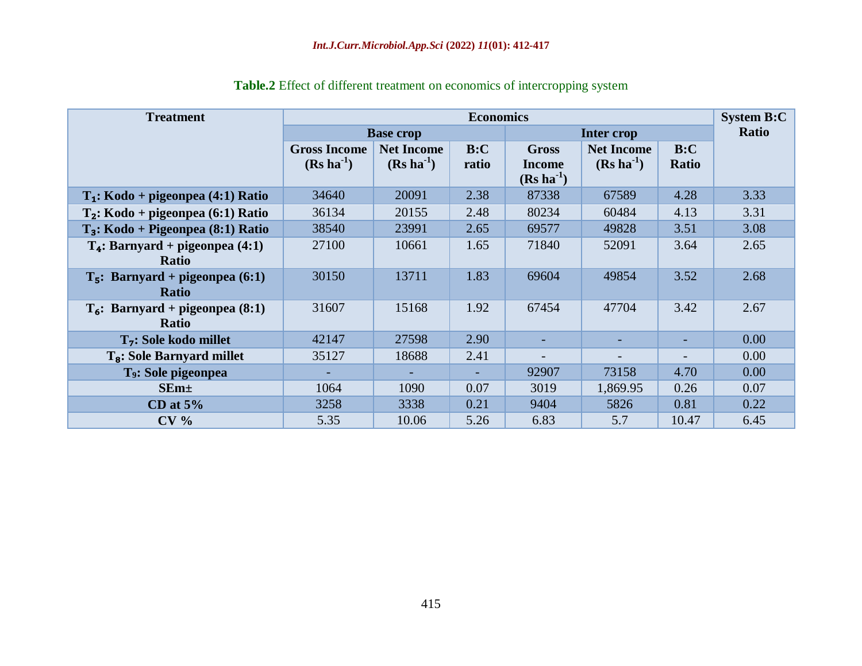| <b>Treatment</b>                      | <b>Economics</b>    |                   |                   |                |                   | <b>System B:C</b> |      |
|---------------------------------------|---------------------|-------------------|-------------------|----------------|-------------------|-------------------|------|
|                                       |                     | <b>Base crop</b>  | <b>Inter crop</b> | Ratio          |                   |                   |      |
|                                       | <b>Gross Income</b> | <b>Net Income</b> | B:C               | <b>Gross</b>   | <b>Net Income</b> | B:C               |      |
|                                       | $(Rs ha-1)$         | $(Rs ha-1)$       | ratio             | <b>Income</b>  | $(Rs ha-1)$       | Ratio             |      |
|                                       |                     |                   |                   | $(Rs ha^{-1})$ |                   |                   |      |
| $T_1$ : Kodo + pigeonpea (4:1) Ratio  | 34640               | 20091             | 2.38              | 87338          | 67589             | 4.28              | 3.33 |
| $T_2$ : Kodo + pigeonpea (6:1) Ratio  | 36134               | 20155             | 2.48              | 80234          | 60484             | 4.13              | 3.31 |
| $T_3$ : Kodo + Pigeonpea (8:1) Ratio  | 38540               | 23991             | 2.65              | 69577          | 49828             | 3.51              | 3.08 |
| $T_4$ : Barnyard + pigeonpea (4:1)    | 27100               | 10661             | 1.65              | 71840          | 52091             | 3.64              | 2.65 |
| <b>Ratio</b>                          |                     |                   |                   |                |                   |                   |      |
| $T_5$ : Barnyard + pigeonpea (6:1)    | 30150               | 13711             | 1.83              | 69604          | 49854             | 3.52              | 2.68 |
| <b>Ratio</b>                          |                     |                   |                   |                |                   |                   |      |
| $T_6$ : Barnyard + pigeonpea (8:1)    | 31607               | 15168             | 1.92              | 67454          | 47704             | 3.42              | 2.67 |
| <b>Ratio</b>                          |                     |                   |                   |                |                   |                   |      |
| T <sub>7</sub> : Sole kodo millet     | 42147               | 27598             | 2.90              |                |                   |                   | 0.00 |
| T <sub>8</sub> : Sole Barnyard millet | 35127               | 18688             | 2.41              |                | -                 |                   | 0.00 |
| T <sub>9</sub> : Sole pigeonpea       |                     |                   |                   | 92907          | 73158             | 4.70              | 0.00 |
| $SEm+$                                | 1064                | 1090              | 0.07              | 3019           | 1,869.95          | 0.26              | 0.07 |
| CD at $5%$                            | 3258                | 3338              | 0.21              | 9404           | 5826              | 0.81              | 0.22 |
| CV <sub>0</sub>                       | 5.35                | 10.06             | 5.26              | 6.83           | 5.7               | 10.47             | 6.45 |

| Table.2 Effect of different treatment on economics of intercropping system |
|----------------------------------------------------------------------------|
|----------------------------------------------------------------------------|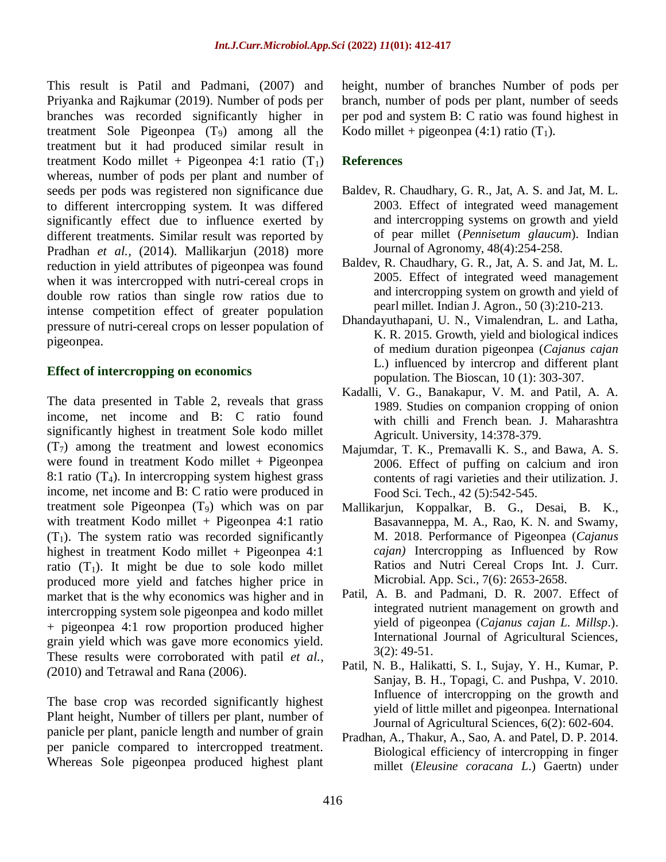This result is Patil and Padmani, (2007) and Priyanka and Rajkumar (2019). Number of pods per branches was recorded significantly higher in treatment Sole Pigeonpea  $(T_9)$  among all the treatment but it had produced similar result in treatment Kodo millet + Pigeonpea 4:1 ratio  $(T_1)$ whereas, number of pods per plant and number of seeds per pods was registered non significance due to different intercropping system. It was differed significantly effect due to influence exerted by different treatments. Similar result was reported by Pradhan *et al.,* (2014). Mallikarjun (2018) more reduction in yield attributes of pigeonpea was found when it was intercropped with nutri-cereal crops in double row ratios than single row ratios due to intense competition effect of greater population pressure of nutri-cereal crops on lesser population of pigeonpea.

## **Effect of intercropping on economics**

The data presented in Table 2, reveals that grass income, net income and B: C ratio found significantly highest in treatment Sole kodo millet  $(T<sub>7</sub>)$  among the treatment and lowest economics were found in treatment Kodo millet  $+$  Pigeonpea 8:1 ratio  $(T_4)$ . In intercropping system highest grass income, net income and B: C ratio were produced in treatment sole Pigeonpea (T9) which was on par with treatment Kodo millet  $+$  Pigeonpea 4:1 ratio  $(T_1)$ . The system ratio was recorded significantly highest in treatment Kodo millet + Pigeonpea 4:1 ratio  $(T_1)$ . It might be due to sole kodo millet produced more yield and fatches higher price in market that is the why economics was higher and in intercropping system sole pigeonpea and kodo millet + pigeonpea 4:1 row proportion produced higher grain yield which was gave more economics yield. These results were corroborated with patil *et al., (*2010) and Tetrawal and Rana (2006).

The base crop was recorded significantly highest Plant height, Number of tillers per plant, number of panicle per plant, panicle length and number of grain per panicle compared to intercropped treatment. Whereas Sole pigeonpea produced highest plant

height, number of branches Number of pods per branch, number of pods per plant, number of seeds per pod and system B: C ratio was found highest in Kodo millet + pigeonpea (4:1) ratio  $(T_1)$ .

# **References**

- Baldev, R. Chaudhary, G. R., Jat, A. S. and Jat, M. L. 2003. Effect of integrated weed management and intercropping systems on growth and yield of pear millet (*Pennisetum glaucum*). Indian Journal of Agronomy, 48(4):254-258.
- Baldev, R. Chaudhary, G. R., Jat, A. S. and Jat, M. L. 2005. Effect of integrated weed management and intercropping system on growth and yield of pearl millet. Indian J. Agron., 50 (3):210-213.
- Dhandayuthapani, U. N., Vimalendran, L. and Latha, K. R. 2015. Growth, yield and biological indices of medium duration pigeonpea (*Cajanus cajan*  L.) influenced by intercrop and different plant population. The Bioscan, 10 (1): 303-307.
- Kadalli, V. G., Banakapur, V. M. and Patil, A. A. 1989. Studies on companion cropping of onion with chilli and French bean. J. Maharashtra Agricult. University, 14:378-379.
- Majumdar, T. K., Premavalli K. S., and Bawa, A. S. 2006. Effect of puffing on calcium and iron contents of ragi varieties and their utilization. J. Food Sci. Tech., 42 (5):542-545.
- Mallikarjun, Koppalkar, B. G., Desai, B. K., Basavanneppa, M. A., Rao, K. N. and Swamy, M. 2018. Performance of Pigeonpea (*Cajanus cajan)* Intercropping as Influenced by Row Ratios and Nutri Cereal Crops Int. J. Curr. Microbial. App. Sci., 7(6): 2653-2658.
- Patil, A. B. and Padmani, D. R. 2007. Effect of integrated nutrient management on growth and yield of pigeonpea (*Cajanus cajan L. Millsp*.). International Journal of Agricultural Sciences, 3(2): 49-51.
- Patil, N. B., Halikatti, S. I., Sujay, Y. H., Kumar, P. Sanjay, B. H., Topagi, C. and Pushpa, V. 2010. Influence of intercropping on the growth and yield of little millet and pigeonpea. International Journal of Agricultural Sciences, 6(2): 602-604.
- Pradhan, A., Thakur, A., Sao, A. and Patel, D. P. 2014. Biological efficiency of intercropping in finger millet (*Eleusine coracana L*.) Gaertn) under